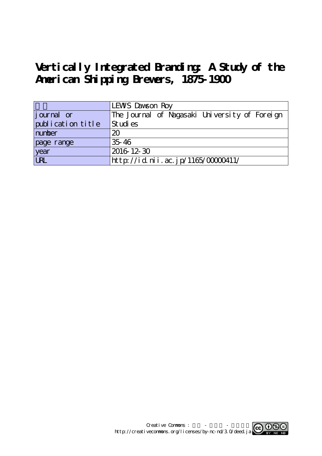# **Vertically Integrated Branding: A Study of the American Shipping Brewers, 1875-1900**

|                   | LEWS Dawson Roy                               |
|-------------------|-----------------------------------------------|
| journal or        | The Journal of Nagasaki University of Foreign |
| publication title | St udi es                                     |
| number            | 20                                            |
| page range        | $35 - 46$                                     |
| year              | 2016 12 30                                    |
| URL               | http://id.nii.ac.jp/1165/00000411/            |

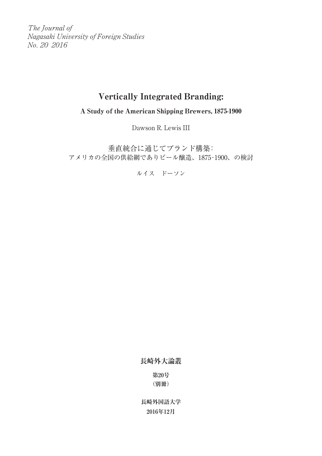The Journal of Nagasaki University of Foreign Studies No. 20 2016

# Vertically Integrated Branding:

A Study of the American Shipping Brewers, 1875-1900

Dawson R. Lewis III

垂直統合に通じてブランド構築: アメリカの全国の供給網でありビール醸造、1875‐1900、の検討

ルイス ドーソン

**長崎外大論叢**

**第20号 (別冊)**

**長崎外国語大学 2016年12月**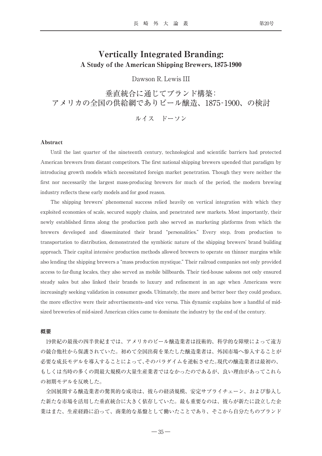# Vertically Integrated Branding: A Study of the American Shipping Brewers, 1875-1900

Dawson R. Lewis III

垂直統合に通じてブランド構築: アメリカの全国の供給網でありビール醸造、1875‐1900、の検討

ルイス ドーソン

## Abstract

Until the last quarter of the nineteenth century, technological and scientific barriers had protected American brewers from distant competitors. The first national shipping brewers upended that paradigm by introducing growth models which necessitated foreign market penetration. Though they were neither the first nor necessarily the largest mass-producing brewers for much of the period, the modern brewing industry reflects these early models and for good reason.

The shipping brewers' phenomenal success relied heavily on vertical integration with which they exploited economies of scale, secured supply chains, and penetrated new markets. Most importantly, their newly established firms along the production path also served as marketing platforms from which the brewers developed and disseminated their brand "personalities." Every step, from production to transportation to distribution, demonstrated the symbiotic nature of the shipping brewers' brand building approach. Their capital intensive production methods allowed brewers to operate on thinner margins while also lending the shipping brewers a "mass production mystique." Their railroad companies not only provided access to far-flung locales, they also served as mobile billboards. Their tied-house saloons not only ensured steady sales but also linked their brands to luxury and refinement in an age when Americans were increasingly seeking validation in consumer goods. Ultimately, the more and better beer they could produce, the more effective were their advertisements--and vice versa. This dynamic explains how a handful of midsized breweries of mid-sized American cities came to dominate the industry by the end of the century.

# **概要**

19世紀の最後の四半世紀までは、アメリカのビール醸造業者は技術的、科学的な障壁によって遠方 の競合他社から保護されていた。初めて全国出荷を果たした醸造業者は、外国市場へ参入することが 必要な成長モデルを導入することによって、そのパラダイムを逆転させた。現代の醸造業者は最初の、 もしくは当時の多くの間最大規模の大量生産業者ではなかったのであるが、良い理由があってこれら の初期モデルを反映した。

全国展開する醸造業者の驚異的な成功は、彼らの経済規模、安定サプライチェーン、および参入し た新たな市場を活用した垂直統合に大きく依存していた。最も重要なのは、彼らが新たに設立した企 業はまた、生産経路に沿って、商業的な基盤として働いたことであり、そこから自分たちのブランド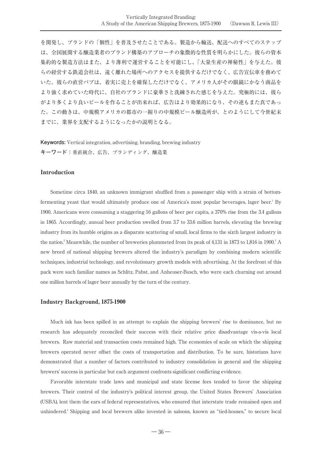を開発し、ブランドの「個性」を普及させたことである。製造から輸送、配送へのすべてのステップ は、全国展開する醸造業者のブランド構築のアプローチの象徴的な性質を明らかにした。彼らの資本 集約的な製造方法はまた、より薄利で運営することを可能にし、「大量生産の神秘性」を与えた。彼 らの経営する鉄道会社は、遠く離れた場所へのアクセスを提供するだけでなく、広告宣伝車を務めて いた。彼らの直営パブは、着実に売上を確保しただけでなく、アメリカ人がその眼鏡にかなう商品を より強く求めていた時代に、自社のブランドに豪華さと洗練された感じを与えた。究極的には、彼ら がより多くより良いビールを作ることが出来れば、広告はより効果的になり、その逆もまた真であっ た。この動きは、中規模アメリカの都市の一握りの中規模ビール醸造所が、とのようにして今世紀末 までに、業界を支配するようになったかの説明となる。

**Keywords:** Vertical integration, advertising, branding, brewing industry **キーワード:**垂直統合、広告、ブランディング、醸造業

# Introduction

Sometime circa 1840, an unknown immigrant shuffled from a passenger ship with a strain of bottomfermenting yeast that would ultimately produce one of America's most popular beverages, lager beer.<sup>1</sup> By 1900, Americans were consuming a staggering 16 gallons of beer per capita, a 370% rise from the 3.4 gallons in 1865. Accordingly, annual beer production swelled from 3.7 to 33.6 million barrels, elevating the brewing industry from its humble origins as a disparate scattering of small, local firms to the sixth largest industry in the nation.<sup>2</sup> Meanwhile, the number of breweries plummeted from its peak of 4,131 in 1873 to 1,816 in 1900.<sup>3</sup> A new breed of national shipping brewers altered the industry's paradigm by combining modern scientific techniques, industrial technology, and revolutionary growth models with advertising. At the forefront of this pack were such familiar names as Schlitz, Pabst, and Anheuser-Busch, who were each churning out around one million barrels of lager beer annually by the turn of the century.

#### Industry Background, 1875-1900

Much ink has been spilled in an attempt to explain the shipping brewers' rise to dominance, but no research has adequately reconciled their success with their relative price disadvantage vis-a-vis local brewers. Raw material and transaction costs remained high. The economies of scale on which the shipping brewers operated never offset the costs of transportation and distribution. To be sure, historians have demonstrated that a number of factors contributed to industry consolidation in general and the shipping brewers' success in particular but each argument confronts significant conflicting evidence.

Favorable interstate trade laws and municipal and state license fees tended to favor the shipping brewers. Their control of the industry's political interest group, the United States Brewers' Association (USBA), lent them the ears of federal representatives, who ensured that interstate trade remained open and unhindered.4 Shipping and local brewers alike invested in saloons, known as "tied-houses," to secure local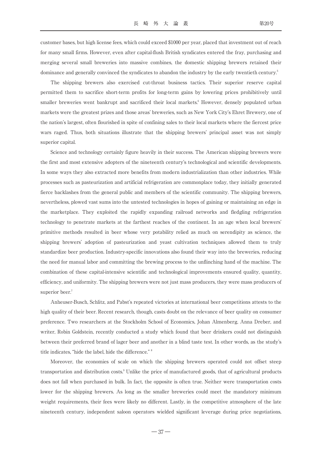customer bases, but high license fees, which could exceed \$1000 per year, placed that investment out of reach for many small firms. However, even after capital-flush British syndicates entered the fray, purchasing and merging several small breweries into massive combines, the domestic shipping brewers retained their dominance and generally convinced the syndicates to abandon the industry by the early twentieth century.<sup>5</sup>

The shipping brewers also exercised cut-throat business tactics. Their superior reserve capital permitted them to sacrifice short-term profits for long-term gains by lowering prices prohibitively until smaller breweries went bankrupt and sacrificed their local markets.<sup>6</sup> However, densely populated urban markets were the greatest prizes and those areas' breweries, such as New York City's Ehret Brewery, one of the nation's largest, often flourished in spite of confining sales to their local markets where the fiercest price wars raged. Thus, both situations illustrate that the shipping brewers' principal asset was not simply superior capital.

Science and technology certainly figure heavily in their success. The American shipping brewers were the first and most extensive adopters of the nineteenth century's technological and scientific developments. In some ways they also extracted more benefits from modern industrialization than other industries. While processes such as pasteurization and artificial refrigeration are commonplace today, they initially generated fierce backlashes from the general public and members of the scientific community. The shipping brewers, nevertheless, plowed vast sums into the untested technologies in hopes of gaining or maintaining an edge in the marketplace. They exploited the rapidly expanding railroad networks and fledgling refrigeration technology to penetrate markets at the farthest reaches of the continent. In an age when local brewers' primitive methods resulted in beer whose very potability relied as much on serendipity as science, the shipping brewers' adoption of pasteurization and yeast cultivation techniques allowed them to truly standardize beer production. Industry-specific innovations also found their way into the breweries, reducing the need for manual labor and committing the brewing process to the unflinching hand of the machine. The combination of these capital-intensive scientific and technological improvements ensured quality, quantity, efficiency, and uniformity. The shipping brewers were not just mass producers, they were mass producers of superior beer.<sup>7</sup>

Anheuser-Busch, Schlitz, and Pabst's repeated victories at international beer competitions attests to the high quality of their beer. Recent research, though, casts doubt on the relevance of beer quality on consumer preference. Two researchers at the Stockholm School of Economics, Johan Almenberg, Anna Dreber, and writer, Robin Goldstein, recently conducted a study which found that beer drinkers could not distinguish between their preferred brand of lager beer and another in a blind taste test. In other words, as the study's title indicates, "hide the label, hide the difference." <sup>8</sup>

Moreover, the economies of scale on which the shipping brewers operated could not offset steep transportation and distribution costs.<sup>9</sup> Unlike the price of manufactured goods, that of agricultural products does not fall when purchased in bulk. In fact, the opposite is often true. Neither were transportation costs lower for the shipping brewers. As long as the smaller breweries could meet the mandatory minimum weight requirements, their fees were likely no different. Lastly, in the competitive atmosphere of the late nineteenth century, independent saloon operators wielded significant leverage during price negotiations,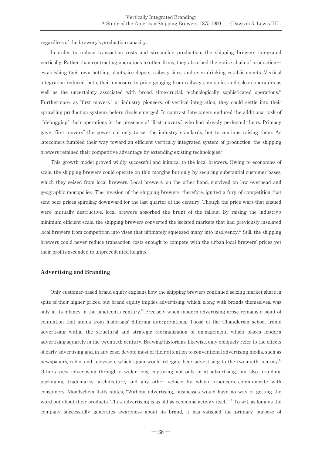regardless of the brewery's production capacity.

In order to reduce transaction costs and streamline production, the shipping brewers integrated vertically. Rather than contracting operations to other firms, they absorbed the entire chain of production― establishing their own bottling plants, ice depots, railway lines, and even drinking establishments. Vertical integration reduced, both, their exposure to price gouging from railway companies and saloon operators as well as the uncertainty associated with broad, time-crucial, technologically sophisticated operations.<sup>10</sup> Furthermore, as "first movers," or industry pioneers, of vertical integration, they could settle into their sprawling production systems before rivals emerged. In contrast, latecomers endured the additional task of "debugging" their operations in the presence of "first movers," who had already perfected theirs. Primacy gave "first movers" the power not only to set the industry standards, but to continue raising them. As latecomers fumbled their way toward an efficient vertically integrated system of production, the shipping brewers retained their competitive advantage by extending existing technologies.<sup>11</sup>

This growth model proved wildly successful and inimical to the local brewers. Owing to economies of scale, the shipping brewers could operate on thin margins but only by securing substantial customer bases, which they seized from local brewers. Local brewers, on the other hand, survived on low overhead and geographic monopolies. The invasion of the shipping brewers, therefore, ignited a fury of competition that sent beer prices spiraling downward for the last quarter of the century. Though the price wars that ensued were mutually destructive, local brewers absorbed the brunt of the fallout. By raising the industry's minimum efficient scale, the shipping brewers converted the isolated markets that had previously insulated local brewers from competition into vises that ultimately squeezed many into insolvency.<sup>12</sup> Still, the shipping brewers could never reduce transaction costs enough to compete with the urban local brewers' prices yet their profits ascended to unprecedented heights.

# Advertising and Branding

Only customer-based brand equity explains how the shipping brewers continued seizing market share in spite of their higher prices, but brand equity implies advertising, which, along with brands themselves, was only in its infancy in the nineteenth century.13 Precisely when modern advertising arose remains a point of contention that stems from historians' differing interpretations. Those of the Chandlerian school frame advertising within the structural and strategic reorganization of management, which places modern advertising squarely in the twentieth century. Brewing historians, likewise, only obliquely refer to the effects of early advertising and, in any case, devote most of their attention to conventional advertising media, such as newspapers, radio, and television, which again would relegate beer advertising to the twentieth century.<sup>14</sup> Others view advertising through a wider lens, capturing not only print advertising, but also branding, packaging, trademarks, architecture, and any other vehicle by which producers communicate with consumers. Mondschein flatly states, "Without advertising, businesses would have no way of getting the word out about their products. Thus, advertising is as old as economic activity itself."15 To wit, as long as the company successfully generates awareness about its brand, it has satisfied the primary purpose of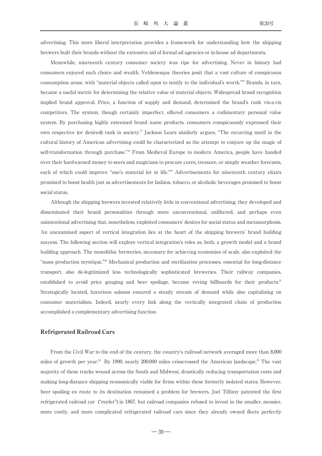advertising. This more liberal interpretation provides a framework for understanding how the shipping brewers built their brands without the extensive aid of formal ad agencies or in-house ad departments.

Meanwhile, nineteenth century consumer society was ripe for advertising. Never in history had consumers enjoyed such choice and wealth. Veblenesque theories posit that a vast culture of conspicuous consumption arose, with "material objects called upon to testify to the individual's worth."16 Brands, in turn, became a useful metric for determining the relative value of material objects. Widespread brand recognition implied brand approval. Price, a function of supply and demand, determined the brand's rank vis-a-vis competitors. The system, though certainly imperfect, offered consumers a rudimentary personal value system. By purchasing highly esteemed brand name products, consumers conspicuously expressed their own respective (or desired) rank in society.17 Jackson Lears similarly argues, "The recurring motif in the cultural history of American advertising could be characterized as the attempt to conjure up the magic of self-transformation through purchase."18 From Medieval Europe to modern America, people have handed over their hard-earned money to seers and magicians to procure cures, treasure, or simply weather forecasts, each of which could improve "one's material lot in life."19 Advertisements for nineteenth century elixirs promised to boost health just as advertisements for fashion, tobacco, or alcoholic beverages promised to boost social status.

Although the shipping brewers invested relatively little in conventional advertising, they developed and disseminated their brand personalities through more unconventional, unfiltered, and perhaps even unintentional advertising that, nonetheless, exploited consumers' desires for social status and metamorphosis. An unexamined aspect of vertical integration lies at the heart of the shipping brewers' brand building success. The following section will explore vertical integration's roles as, both, a growth model and a brand building approach. The monolithic breweries, necessary for achieving economies of scale, also exploited the "mass production mystique."20 Mechanical production and sterilization processes, essential for long-distance transport, also de-legitimized less technologically sophisticated breweries. Their railway companies, established to avoid price gouging and beer spoilage, became roving billboards for their products.<sup>21</sup> Strategically located, luxurious saloons ensured a steady stream of demand while also capitalizing on consumer materialism. Indeed, nearly every link along the vertically integrated chain of production accomplished a complementary advertising function.

# Refrigerated Railroad Cars

From the Civil War to the end of the century, the country's railroad network averaged more than 8,000 miles of growth per year.<sup>22</sup> By 1900, nearly 200,000 miles crisscrossed the American landscape.<sup>23</sup> The vast majority of these tracks wound across the South and Midwest, drastically reducing transportation costs and making long-distance shipping economically viable for firms within these formerly isolated states. However, beer spoiling en route to its destination remained a problem for brewers. Joel Tiffany patented the first refrigerated railroad car ("reefer") in 1867, but railroad companies refused to invest in the smaller, messier, more costly, and more complicated refrigerated railroad cars since they already owned fleets perfectly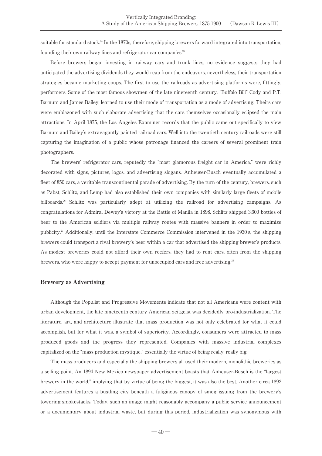suitable for standard stock.<sup>24</sup> In the 1870s, therefore, shipping brewers forward integrated into transportation, founding their own railway lines and refrigerator car companies.<sup>25</sup>

Before brewers began investing in railway cars and trunk lines, no evidence suggests they had anticipated the advertising dividends they would reap from the endeavors; nevertheless, their transportation strategies became marketing coups. The first to use the railroads as advertising platforms were, fittingly, performers. Some of the most famous showmen of the late nineteenth century, "Buffalo Bill" Cody and P.T. Barnum and James Bailey, learned to use their mode of transportation as a mode of advertising. Theirs cars were emblazoned with such elaborate advertising that the cars themselves occasionally eclipsed the main attractions. In April 1875, the Los Angeles Examiner records that the public came out specifically to view Barnum and Bailey's extravagantly painted railroad cars. Well into the twentieth century railroads were still capturing the imagination of a public whose patronage financed the careers of several prominent train photographers.

The brewers' refrigerator cars, reputedly the "most glamorous freight car in America," were richly decorated with signs, pictures, logos, and advertising slogans. Anheuser-Busch eventually accumulated a fleet of 850 cars, a veritable transcontinental parade of advertising. By the turn of the century, brewers, such as Pabst, Schlitz, and Lemp had also established their own companies with similarly large fleets of mobile billboards.<sup>26</sup> Schlitz was particularly adept at utilizing the railroad for advertising campaigns. As congratulations for Admiral Dewey's victory at the Battle of Manila in 1898, Schlitz shipped 3,600 bottles of beer to the American soldiers via multiple railway routes with massive banners in order to maximize publicity.<sup>27</sup> Additionally, until the Interstate Commerce Commission intervened in the 1930 s, the shipping brewers could transport a rival brewery's beer within a car that advertised the shipping brewer's products. As modest breweries could not afford their own reefers, they had to rent cars, often from the shipping brewers, who were happy to accept payment for unoccupied cars and free advertising.<sup>28</sup>

# Brewery as Advertising

Although the Populist and Progressive Movements indicate that not all Americans were content with urban development, the late nineteenth century American zeitgeist was decidedly pro-industrialization. The literature, art, and architecture illustrate that mass production was not only celebrated for what it could accomplish, but for what it was, a symbol of superiority. Accordingly, consumers were attracted to mass produced goods and the progress they represented. Companies with massive industrial complexes capitalized on the "mass production mystique," essentially the virtue of being really, really big.

The mass-producers and especially the shipping brewers all used their modern, monolithic breweries as a selling point. An 1894 New Mexico newspaper advertisement boasts that Anheuser-Busch is the "largest brewery in the world," implying that by virtue of being the biggest, it was also the best. Another circa 1892 advertisement features a bustling city beneath a fuliginous canopy of smog issuing from the brewery's towering smokestacks. Today, such an image might reasonably accompany a public service announcement or a documentary about industrial waste, but during this period, industrialization was synonymous with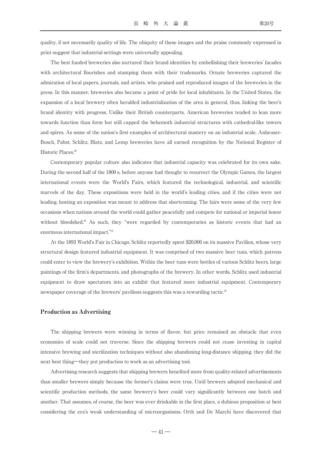quality, if not necessarily quality of life. The ubiquity of these images and the praise commonly expressed in print suggest that industrial settings were universally appealing.

The best funded breweries also nurtured their brand identities by embellishing their breweries' facades with architectural flourishes and stamping them with their trademarks. Ornate breweries captured the admiration of local papers, journals, and artists, who praised and reproduced images of the breweries in the press. In this manner, breweries also became a point of pride for local inhabitants. In the United States, the expansion of a local brewery often heralded industrialization of the area in general, thus, linking the beer's brand identity with progress. Unlike their British counterparts, American breweries tended to lean more towards function than form but still capped the behemoth industrial structures with cathedral-like towers and spires. As some of the nation's first examples of architectural mastery on an industrial scale, Anheuser-Busch, Pabst, Schlitz, Blatz, and Lemp breweries have all earned recognition by the National Register of Historic Places.<sup>29</sup>

Contemporary popular culture also indicates that industrial capacity was celebrated for its own sake. During the second half of the 1800 s, before anyone had thought to resurrect the Olympic Games, the largest international events were the World's Fairs, which featured the technological, industrial, and scientific marvels of the day. These expositions were held in the world's leading cities, and if the cities were not leading, hosting an exposition was meant to address that shortcoming. The fairs were some of the very few occasions when nations around the world could gather peacefully and compete for national or imperial honor without bloodshed.<sup>30</sup> As such, they "were regarded by contemporaries as historic events that had an enormous international impact."31

At the 1893 World's Fair in Chicago, Schlitz reportedly spent \$20,000 on its massive Pavilion, whose very structural design featured industrial equipment. It was comprised of two massive beer tuns, which patrons could enter to view the brewery's exhibition. Within the beer tuns were bottles of various Schlitz beers, large paintings of the firm's departments, and photographs of the brewery. In other words, Schlitz used industrial equipment to draw spectators into an exhibit that featured more industrial equipment. Contemporary newspaper coverage of the brewers' pavilions suggests this was a rewarding tactic.<sup>32</sup>

# Production as Advertising

The shipping brewers were winning in terms of flavor, but price remained an obstacle that even economies of scale could not traverse. Since the shipping brewers could not cease investing in capital intensive brewing and sterilization techniques without also abandoning long-distance shipping, they did the next best thing―they put production to work as an advertising tool.

Advertising research suggests that shipping brewers benefited more from quality-related advertisements than smaller brewers simply because the former's claims were true. Until brewers adopted mechanical and scientific production methods, the same brewery's beer could vary significantly between one batch and another. That assumes, of course, the beer was ever drinkable in the first place, a dubious proposition at best considering the era's weak understanding of microorganisms. Orth and De Marchi have discovered that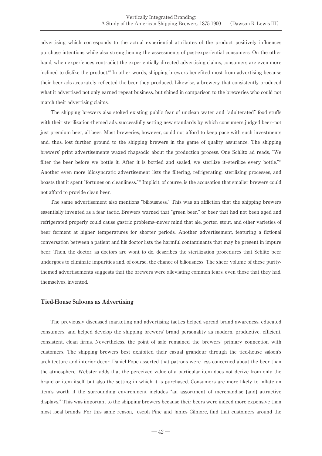advertising which corresponds to the actual experiential attributes of the product positively influences purchase intentions while also strengthening the assessments of post-experiential consumers. On the other hand, when experiences contradict the experientially directed advertising claims, consumers are even more inclined to dislike the product.<sup>33</sup> In other words, shipping brewers benefited most from advertising because their beer ads accurately reflected the beer they produced. Likewise, a brewery that consistently produced what it advertised not only earned repeat business, but shined in comparison to the breweries who could not match their advertising claims.

The shipping brewers also stoked existing public fear of unclean water and "adulterated" food stuffs with their sterilization-themed ads, successfully setting new standards by which consumers judged beer--not just premium beer, all beer. Most breweries, however, could not afford to keep pace with such investments and, thus, lost further ground to the shipping brewers in the game of quality assurance. The shipping brewers' print advertisements waxed rhapsodic about the production process. One Schlitz ad reads, "We filter the beer before we bottle it. After it is bottled and sealed, we sterilize it--sterilize every bottle."34 Another even more idiosyncratic advertisement lists the filtering, refrigerating, sterilizing processes, and boasts that it spent "fortunes on cleanliness."35 Implicit, of course, is the accusation that smaller brewers could not afford to provide clean beer.

The same advertisement also mentions "biliousness." This was an affliction that the shipping brewers essentially invented as a fear tactic. Brewers warned that "green beer," or beer that had not been aged and refrigerated properly could cause gastric problems--never mind that ale, porter, stout, and other varieties of beer ferment at higher temperatures for shorter periods. Another advertisement, featuring a fictional conversation between a patient and his doctor lists the harmful contaminants that may be present in impure beer. Then, the doctor, as doctors are wont to do, describes the sterilization procedures that Schlitz beer undergoes to eliminate impurities and, of course, the chance of biliousness. The sheer volume of these puritythemed advertisements suggests that the brewers were alleviating common fears, even those that they had, themselves, invented.

# Tied-House Saloons as Advertising

The previously discussed marketing and advertising tactics helped spread brand awareness, educated consumers, and helped develop the shipping brewers' brand personality as modern, productive, efficient, consistent, clean firms. Nevertheless, the point of sale remained the brewers' primary connection with customers. The shipping brewers best exhibited their casual grandeur through the tied-house saloon's architecture and interior decor. Daniel Pope asserted that patrons were less concerned about the beer than the atmosphere. Webster adds that the perceived value of a particular item does not derive from only the brand or item itself, but also the setting in which it is purchased. Consumers are more likely to inflate an item's worth if the surrounding environment includes "an assortment of merchandise [and] attractive displays." This was important to the shipping brewers because their beers were indeed more expensive than most local brands. For this same reason, Joseph Pine and James Gilmore, find that customers around the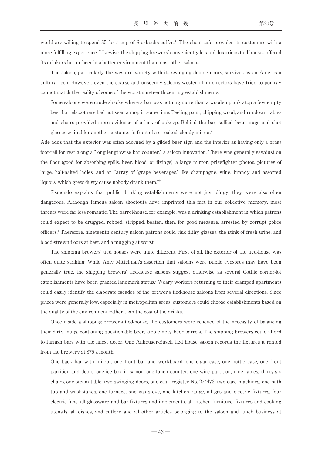world are willing to spend \$5 for a cup of Starbucks coffee.<sup>36</sup> The chain cafe provides its customers with a more fulfilling experience. Likewise, the shipping brewers' conveniently located, luxurious tied houses offered its drinkers better beer in a better environment than most other saloons.

The saloon, particularly the western variety with its swinging double doors, survives as an American cultural icon. However, even the coarse and unseemly saloons western film directors have tried to portray cannot match the reality of some of the worst nineteenth century establishments:

Some saloons were crude shacks where a bar was nothing more than a wooden plank atop a few empty beer barrels…others had not seen a mop in some time. Peeling paint, chipping wood, and rundown tables and chairs provided more evidence of a lack of upkeep. Behind the bar, sullied beer mugs and shot glasses waited for another customer in front of a streaked, cloudy mirror.<sup>37</sup>

Ade adds that the exterior was often adorned by a gilded beer sign and the interior as having only a brass foot-rail for rest along a "long lengthwise bar counter," a saloon innovation. There was generally sawdust on the floor (good for absorbing spills, beer, blood, or fixings), a large mirror, prizefighter photos, pictures of large, half-naked ladies, and an "array of ʻgrape beverages,' like champagne, wine, brandy and assorted liquors, which grew dusty cause nobody drank them."38

Sismondo explains that public drinking establishments were not just dingy, they were also often dangerous. Although famous saloon shootouts have imprinted this fact in our collective memory, most threats were far less romantic. The barrel-house, for example, was a drinking establishment in which patrons could expect to be drugged, robbed, stripped, beaten, then, for good measure, arrested by corrupt police officers.6 Therefore, nineteenth century saloon patrons could risk filthy glasses, the stink of fresh urine, and blood-strewn floors at best, and a mugging at worst.

The shipping brewers' tied houses were quite different. First of all, the exterior of the tied-house was often quite striking. While Amy Mittelman's assertion that saloons were public eyesores may have been generally true, the shipping brewers' tied-house saloons suggest otherwise as several Gothic corner-lot establishments have been granted landmark status.<sup>7</sup> Weary workers returning to their cramped apartments could easily identify the elaborate facades of the brewer's tied-house saloons from several directions. Since prices were generally low, especially in metropolitan areas, customers could choose establishments based on the quality of the environment rather than the cost of the drinks.

Once inside a shipping brewer's tied-house, the customers were relieved of the necessity of balancing their dirty mugs, containing questionable beer, atop empty beer barrels. The shipping brewers could afford to furnish bars with the finest decor. One Anheuser-Busch tied house saloon records the fixtures it rented from the brewery at \$75 a month:

One back bar with mirror, one front bar and workboard, one cigar case, one bottle case, one front partition and doors, one ice box in saloon, one lunch counter, one wire partition, nine tables, thirty-six chairs, one steam table, two swinging doors, one cash register No. 274473, two card machines, one bath tub and washstands, one furnace, one gas stove, one kitchen range, all gas and electric fixtures, four electric fans, all glassware and bar fixtures and implements, all kitchen furniture, fixtures and cooking utensils, all dishes, and cutlery and all other articles belonging to the saloon and lunch business at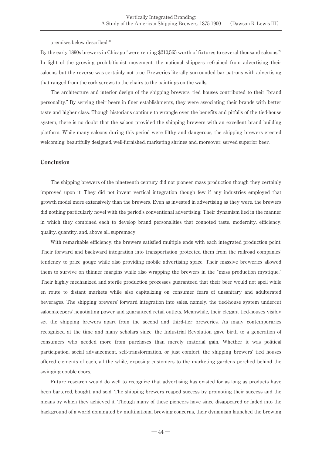premises below described.39

By the early 1890s brewers in Chicago "were renting \$210,565 worth of fixtures to several thousand saloons."4 In light of the growing prohibitionist movement, the national shippers refrained from advertising their saloons, but the reverse was certainly not true. Breweries literally surrounded bar patrons with advertising that ranged from the cork screws to the chairs to the paintings on the walls.

The architecture and interior design of the shipping brewers' tied houses contributed to their "brand personality." By serving their beers in finer establishments, they were associating their brands with better taste and higher class. Though historians continue to wrangle over the benefits and pitfalls of the tied-house system, there is no doubt that the saloon provided the shipping brewers with an excellent brand building platform. While many saloons during this period were filthy and dangerous, the shipping brewers erected welcoming, beautifully designed, well-furnished, marketing shrines and, moreover, served superior beer.

# Conclusion

The shipping brewers of the nineteenth century did not pioneer mass production though they certainly improved upon it. They did not invent vertical integration though few if any industries employed that growth model more extensively than the brewers. Even as invested in advertising as they were, the brewers did nothing particularly novel with the period's conventional advertising. Their dynamism lied in the manner in which they combined each to develop brand personalities that connoted taste, modernity, efficiency, quality, quantity, and, above all, supremacy.

With remarkable efficiency, the brewers satisfied multiple ends with each integrated production point. Their forward and backward integration into transportation protected them from the railroad companies' tendency to price gouge while also providing mobile advertising space. Their massive breweries allowed them to survive on thinner margins while also wrapping the brewers in the "mass production mystique." Their highly mechanized and sterile production processes guaranteed that their beer would not spoil while en route to distant markets while also capitalizing on consumer fears of unsanitary and adulterated beverages. The shipping brewers' forward integration into sales, namely, the tied-house system undercut saloonkeepers' negotiating power and guaranteed retail outlets. Meanwhile, their elegant tied-houses visibly set the shipping brewers apart from the second and third-tier breweries. As many contemporaries recognized at the time and many scholars since, the Industrial Revolution gave birth to a generation of consumers who needed more from purchases than merely material gain. Whether it was political participation, social advancement, self-transformation, or just comfort, the shipping brewers' tied houses offered elements of each, all the while, exposing customers to the marketing gardens perched behind the swinging double doors.

Future research would do well to recognize that advertising has existed for as long as products have been bartered, bought, and sold. The shipping brewers reaped success by promoting their success and the means by which they achieved it. Though many of these pioneers have since disappeared or faded into the background of a world dominated by multinational brewing concerns, their dynamism launched the brewing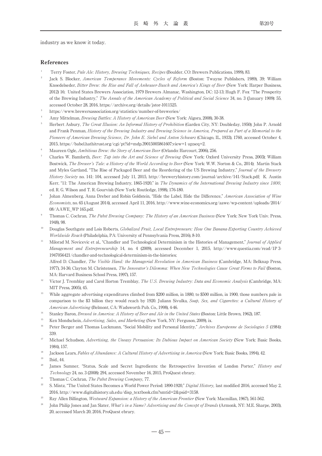industry as we know it today.

# References

- <sup>1</sup> Terry Foster, Pale Ale: History, Brewing Techniques, Recipes (Boulder, CO: Brewers Publications, 1999), 83.
- Jack S. Blocker, American Temperance Movements: Cycles of Reform (Boston: Twayne Publishers, 1989), 39; William Knoedelseder, Bitter Brew: the Rise and Fall of Anheuser-Busch and America's Kings of Beer (New York: Harper Business, 2012) 16; United States Brewers Association, 1979 Brewers Almanac, Washington, DC: 12-13; Hugh F. Fox "The Prosperity of the Brewing Industry," The Annals of the American Academy of Political and Social Science 34, no. 3 (January 1909): 55, accessed October 28, 2016, https://archive.org/details/jstor-1011525.
- <sup>3</sup> https://www.brewersassociation.org/statistics/number-of-breweries/
- Amy Mittelman, Brewing Battles: A History of American Beer (New York: Algora, 2008), 30-38.
- <sup>5</sup> Herbert Asbury, The Great Illusion: An Informal History of Prohibition (Garden City, NY: Doubleday, 1950); John P. Arnold and Frank Penman, History of the Brewing Industry and Brewing Science in America, Prepared as Part of a Memorial to the Pioneers of American Brewing Science, Dr. John E. Siebel and Anton Schwarz (Chicago, IL, 1933), 1760, accessed October 4, 2015, https://babel.hathitrust.org/cgi/pt?id=mdp.39015005861607;view=1 up;seq=2.
- Maureen Ogle, Ambitious Brew: the Story of American Beer (Orlando: Harcourt, 2006), 256.
- Charles W. Bamforth, Beer: Tap into the Art and Science of Brewing (New York: Oxford University Press, 2003); William Bostwick, The Brewer's Tale: a History of the World According to Beer (New York: W.W. Norton & Co., 2014); Martin Stack and Myles Gartland, "The Rise of Packaged Beer and the Reordering of the US Brewing Industry," Journal of the Brewery History Society no. 141: 104, accessed July 11, 2015, http://breweryhistory.com/journal/archive/141/Stack.pdf; K. Austin Kerr, "11: The American Brewing Industry, 1865-1920," in The Dynamics of the International Brewing Industry since 1800, ed. R. G. Wilson and T. R. Gourvish (New York: Routledge, 1998), 176-180.
- Johan Almenberg, Anna Dreber and Robin Goldstein, "Hide the Label, Hide the Difference," American Association of Wine Economists, no. 65 (August 2014), accessed April 11, 2016, http://www.wine-economics.org/aawe/wp-content/uploads/2014/ 08/AAWE\_WP 165.pdf.
- <sup>9</sup> Thomas C. Cochran, The Pabst Brewing Company: The History of an American Business (New York: New York Univ. Press, 1948), 98.
- Douglas Southgate and Lois Roberts, Globalized Fruit, Local Entrepreneurs: How One Banana-Exporting Country Achieved Worldwide Reach (Philadelphia, PA: University of Pennsylvania Press, 2016), 8-10.
- <sup>11</sup> Milorad M. Novicevic et al., "Chandler and Technological Determinism in the Histories of Management," Journal of Applied Management and Entrepreneurship 14, no. 4 (2009), accessed December 1, 2015, http://www.questia.com/read/1P 3- 1947056421/chandler-and-technological-determinism-in-the-histories;

Alfred D. Chandler, The Visible Hand: the Managerial Revolution in American Business (Cambridge, MA: Belknap Press, 1977), 34-36; Clayton M. Christensen, The Innovator's Dilemma: When New Technologies Cause Great Firms to Fail (Boston, MA: Harvard Business School Press, 1997), 157.

- <sup>12</sup> Victor J. Tremblay and Carol Horton Tremblay, *The U.S. Brewing Industry: Data and Economic Analysis* (Cambridge, MA: MIT Press, 2005), 45.
- <sup>13</sup> While aggregate advertising expenditures climbed from \$200 million, in 1880, to \$500 million, in 1900, those numbers pale in comparison to the \$3 billion they would reach by 1920. Juliann Sivulka, Soap, Sex, and Cigarettes: a Cultural History of American Advertising (Belmont, CA: Wadsworth Pub. Co., 1998), 4-46.
- <sup>14</sup> Stanley Baron, *Brewed in America: A History of Beer and Ale in the United States (Boston: Little Brown, 1962), 187.*
- <sup>15</sup> Ken Mondschein, *Advertising, Sales, and Marketing* (New York, NY: Ferguson, 2009), ix.
- <sup>16</sup> Peter Berger and Thomas Luckmann, "Social Mobility and Personal Identity," Archives Europenne de Sociologies 5 (1984): 339.
- <sup>17</sup> Michael Schudson, Advertising, the Uneasy Persuasion: Its Dubious Impact on American Society (New York: Basic Books, 1984), 157.
- <sup>18</sup> Jackson Lears, Fables of Abundance: A Cultural History of Advertising in America (New York: Basic Books, 1994), 42.
- Ibid. 44
- <sup>20</sup> James Sumner, "Status, Scale and Secret Ingredients: the Retrospective Invention of London Porter," *History and* Technology 24, no. 3 (2008): 294, accessed November 16, 2015, ProQuest ebrary.
- <sup>21</sup> Thomas C. Cochran, *The Pabst Brewing Company*, 77.
- <sup>22</sup> S. Mintz, "The United States Becomes a World Power Period: 1890-1920," Digital History, last modified 2016, accessed May 2, 2016, http://www.digitalhistory.uh.edu/disp\_textbook.cfm?smtid=2&psid=3158.
- <sup>23</sup> Ray Allen Billington, Westward Expansion: a History of the American Frontier (New York: Macmillan, 1967), 561-562.
- John Philip Jones and Jan Slater, What's in a Name? Advertising and the Concept of Brands (Armonk, NY: M.E. Sharpe, 2003), 20, accessed March 20, 2016, ProQuest ebrary.